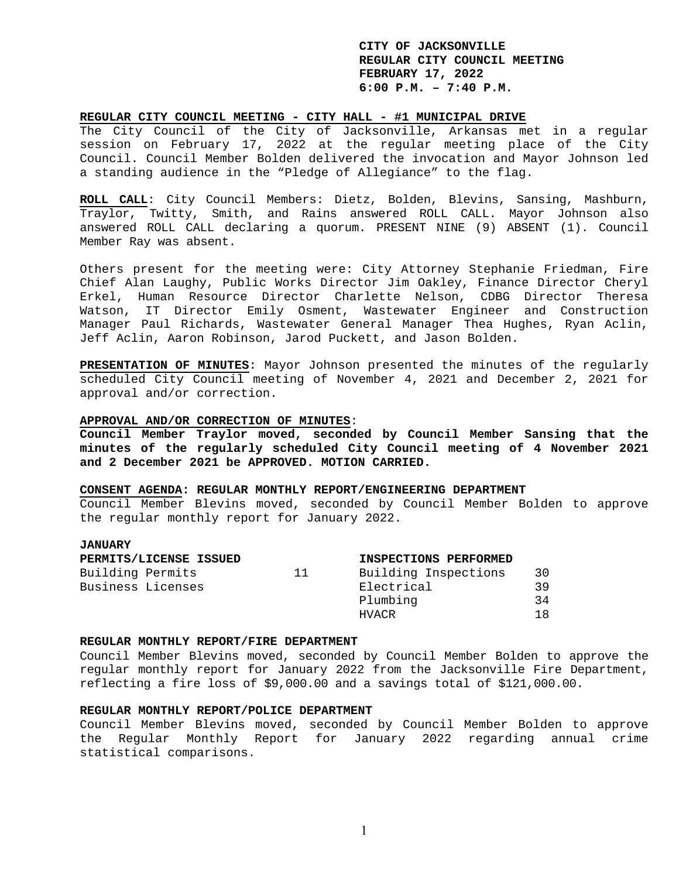### **REGULAR CITY COUNCIL MEETING - CITY HALL - #1 MUNICIPAL DRIVE**

The City Council of the City of Jacksonville, Arkansas met in a regular session on February 17, 2022 at the regular meeting place of the City Council. Council Member Bolden delivered the invocation and Mayor Johnson led a standing audience in the "Pledge of Allegiance" to the flag.

**ROLL CALL**: City Council Members: Dietz, Bolden, Blevins, Sansing, Mashburn, Traylor, Twitty, Smith, and Rains answered ROLL CALL. Mayor Johnson also answered ROLL CALL declaring a quorum. PRESENT NINE (9) ABSENT (1). Council Member Ray was absent.

Others present for the meeting were: City Attorney Stephanie Friedman, Fire Chief Alan Laughy, Public Works Director Jim Oakley, Finance Director Cheryl Erkel, Human Resource Director Charlette Nelson, CDBG Director Theresa Watson, IT Director Emily Osment, Wastewater Engineer and Construction Manager Paul Richards, Wastewater General Manager Thea Hughes, Ryan Aclin, Jeff Aclin, Aaron Robinson, Jarod Puckett, and Jason Bolden.

**PRESENTATION OF MINUTES**: Mayor Johnson presented the minutes of the regularly scheduled City Council meeting of November 4, 2021 and December 2, 2021 for approval and/or correction.

### **APPROVAL AND/OR CORRECTION OF MINUTES**:

**Council Member Traylor moved, seconded by Council Member Sansing that the minutes of the regularly scheduled City Council meeting of 4 November 2021 and 2 December 2021 be APPROVED. MOTION CARRIED.** 

## **CONSENT AGENDA: REGULAR MONTHLY REPORT/ENGINEERING DEPARTMENT**

Council Member Blevins moved, seconded by Council Member Bolden to approve the regular monthly report for January 2022.

## **JANUARY**

|                   | PERMITS/LICENSE ISSUED |    | INSPECTIONS PERFORMED |     |
|-------------------|------------------------|----|-----------------------|-----|
| Building Permits  |                        | 11 | Building Inspections  | 30  |
| Business Licenses |                        |    | Electrical            | 39  |
|                   |                        |    | Plumbing              | 34  |
|                   |                        |    | HVACR                 | 1 R |

#### **REGULAR MONTHLY REPORT/FIRE DEPARTMENT**

Council Member Blevins moved, seconded by Council Member Bolden to approve the regular monthly report for January 2022 from the Jacksonville Fire Department, reflecting a fire loss of \$9,000.00 and a savings total of \$121,000.00.

#### **REGULAR MONTHLY REPORT/POLICE DEPARTMENT**

Council Member Blevins moved, seconded by Council Member Bolden to approve the Regular Monthly Report for January 2022 regarding annual crime statistical comparisons.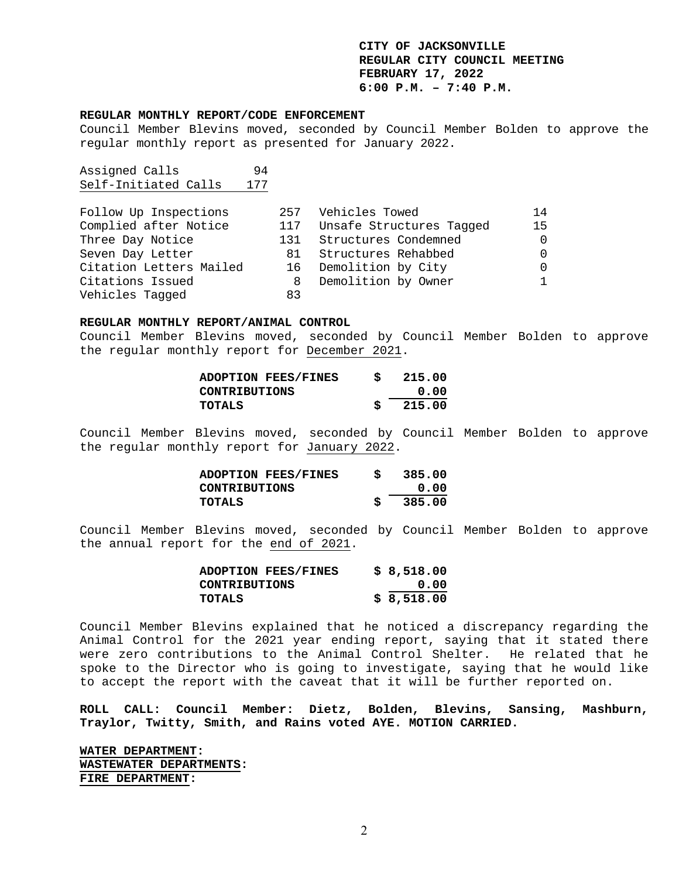#### **REGULAR MONTHLY REPORT/CODE ENFORCEMENT**

Council Member Blevins moved, seconded by Council Member Bolden to approve the regular monthly report as presented for January 2022.

Assigned Calls 94 Self-Initiated Calls 177

| Follow Up Inspections   |     | 257 Vehicles Towed       | 14 |
|-------------------------|-----|--------------------------|----|
| Complied after Notice   | 117 | Unsafe Structures Tagged | 15 |
| Three Day Notice        |     | 131 Structures Condemned |    |
| Seven Day Letter        |     | 81 Structures Rehabbed   |    |
| Citation Letters Mailed |     | 16 Demolition by City    |    |
| Citations Issued        | 8   | Demolition by Owner      |    |
| Vehicles Tagged         | 83  |                          |    |

### **REGULAR MONTHLY REPORT/ANIMAL CONTROL**

Council Member Blevins moved, seconded by Council Member Bolden to approve the regular monthly report for December 2021.

| <b>ADOPTION FEES/FINES</b> | S | 215.00 |
|----------------------------|---|--------|
| CONTRIBUTIONS              |   | 0.00   |
| TOTALS                     |   | 215.00 |

Council Member Blevins moved, seconded by Council Member Bolden to approve the regular monthly report for January 2022.

| <b>ADOPTION FEES/FINES</b> | s | 385.00 |
|----------------------------|---|--------|
| CONTRIBUTIONS              |   | 0.00   |
| TOTALS                     |   | 385.00 |

Council Member Blevins moved, seconded by Council Member Bolden to approve the annual report for the end of 2021.

| <b>ADOPTION FEES/FINES</b> | \$8,518.00 |
|----------------------------|------------|
| <b>CONTRIBUTIONS</b>       | 0.00       |
| TOTALS                     | \$8,518.00 |

Council Member Blevins explained that he noticed a discrepancy regarding the Animal Control for the 2021 year ending report, saying that it stated there were zero contributions to the Animal Control Shelter. He related that he spoke to the Director who is going to investigate, saying that he would like to accept the report with the caveat that it will be further reported on.

**ROLL CALL: Council Member: Dietz, Bolden, Blevins, Sansing, Mashburn, Traylor, Twitty, Smith, and Rains voted AYE. MOTION CARRIED.** 

**WATER DEPARTMENT: WASTEWATER DEPARTMENTS: FIRE DEPARTMENT:**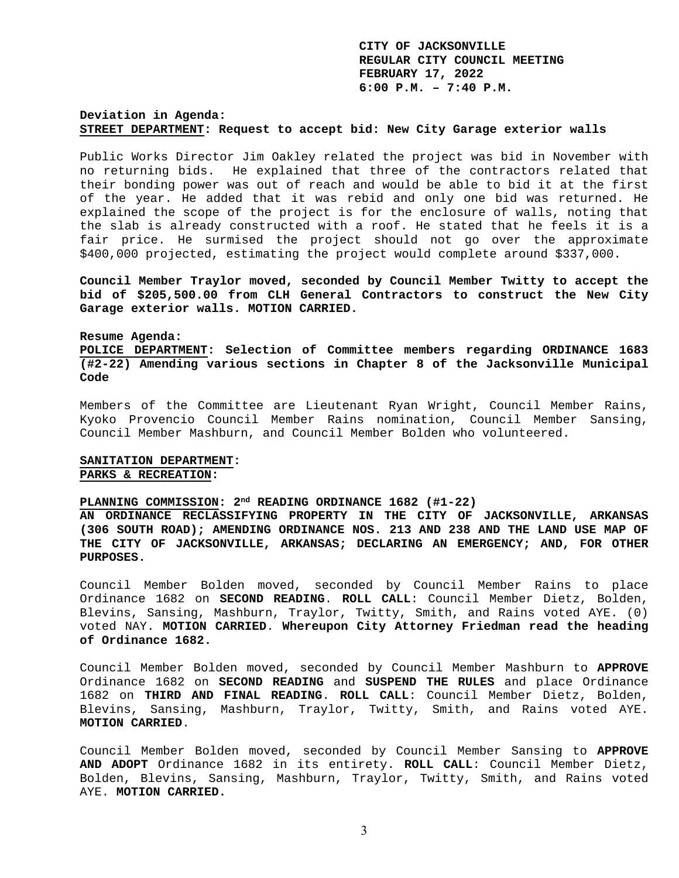## **Deviation in Agenda: STREET DEPARTMENT: Request to accept bid: New City Garage exterior walls**

Public Works Director Jim Oakley related the project was bid in November with no returning bids. He explained that three of the contractors related that their bonding power was out of reach and would be able to bid it at the first of the year. He added that it was rebid and only one bid was returned. He explained the scope of the project is for the enclosure of walls, noting that the slab is already constructed with a roof. He stated that he feels it is a fair price. He surmised the project should not go over the approximate \$400,000 projected, estimating the project would complete around \$337,000.

**Council Member Traylor moved, seconded by Council Member Twitty to accept the bid of \$205,500.00 from CLH General Contractors to construct the New City Garage exterior walls. MOTION CARRIED.** 

#### **Resume Agenda:**

**POLICE DEPARTMENT: Selection of Committee members regarding ORDINANCE 1683 (#2-22) Amending various sections in Chapter 8 of the Jacksonville Municipal Code** 

Members of the Committee are Lieutenant Ryan Wright, Council Member Rains, Kyoko Provencio Council Member Rains nomination, Council Member Sansing, Council Member Mashburn, and Council Member Bolden who volunteered.

## **SANITATION DEPARTMENT: PARKS & RECREATION:**

## **PLANNING COMMISSION: 2nd READING ORDINANCE 1682 (#1-22)**

**AN ORDINANCE RECLASSIFYING PROPERTY IN THE CITY OF JACKSONVILLE, ARKANSAS (306 SOUTH ROAD); AMENDING ORDINANCE NOS. 213 AND 238 AND THE LAND USE MAP OF THE CITY OF JACKSONVILLE, ARKANSAS; DECLARING AN EMERGENCY; AND, FOR OTHER PURPOSES.** 

Council Member Bolden moved, seconded by Council Member Rains to place Ordinance 1682 on **SECOND READING**. **ROLL CALL**: Council Member Dietz, Bolden, Blevins, Sansing, Mashburn, Traylor, Twitty, Smith, and Rains voted AYE. (0) voted NAY. **MOTION CARRIED**. **Whereupon City Attorney Friedman read the heading of Ordinance 1682.** 

Council Member Bolden moved, seconded by Council Member Mashburn to **APPROVE** Ordinance 1682 on **SECOND READING** and **SUSPEND THE RULES** and place Ordinance 1682 on **THIRD AND FINAL READING**. **ROLL CALL**: Council Member Dietz, Bolden, Blevins, Sansing, Mashburn, Traylor, Twitty, Smith, and Rains voted AYE. **MOTION CARRIED**.

Council Member Bolden moved, seconded by Council Member Sansing to **APPROVE AND ADOPT** Ordinance 1682 in its entirety. **ROLL CALL**: Council Member Dietz, Bolden, Blevins, Sansing, Mashburn, Traylor, Twitty, Smith, and Rains voted AYE. **MOTION CARRIED.**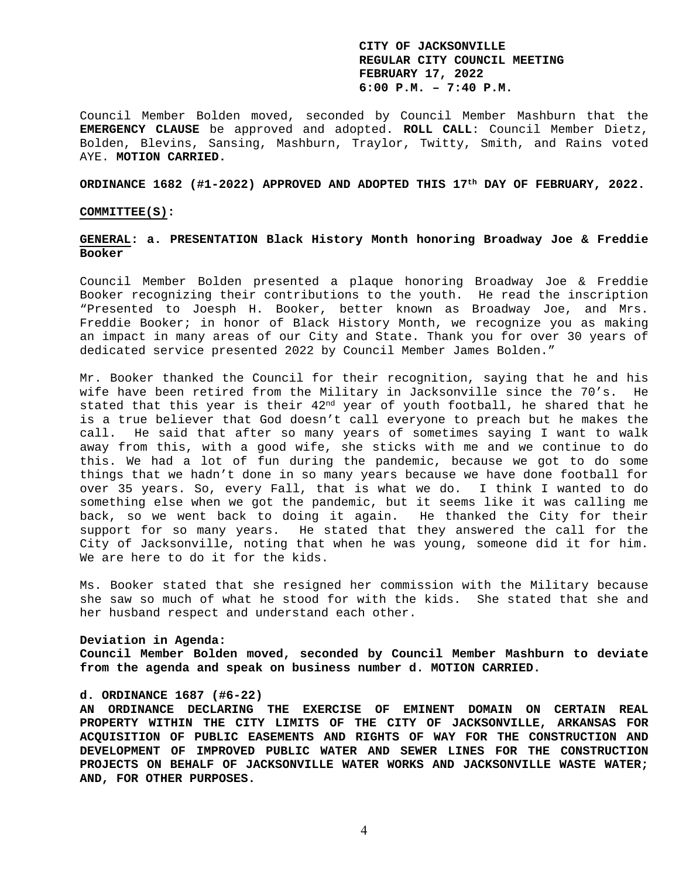Council Member Bolden moved, seconded by Council Member Mashburn that the **EMERGENCY CLAUSE** be approved and adopted. **ROLL CALL**: Council Member Dietz, Bolden, Blevins, Sansing, Mashburn, Traylor, Twitty, Smith, and Rains voted AYE. **MOTION CARRIED.** 

#### **ORDINANCE 1682 (#1-2022) APPROVED AND ADOPTED THIS 17th DAY OF FEBRUARY, 2022.**

### **COMMITTEE(S):**

### **GENERAL: a. PRESENTATION Black History Month honoring Broadway Joe & Freddie Booker**

Council Member Bolden presented a plaque honoring Broadway Joe & Freddie Booker recognizing their contributions to the youth. He read the inscription "Presented to Joesph H. Booker, better known as Broadway Joe, and Mrs. Freddie Booker; in honor of Black History Month, we recognize you as making an impact in many areas of our City and State. Thank you for over 30 years of dedicated service presented 2022 by Council Member James Bolden."

Mr. Booker thanked the Council for their recognition, saying that he and his wife have been retired from the Military in Jacksonville since the 70's. He stated that this year is their  $42<sup>nd</sup>$  year of youth football, he shared that he is a true believer that God doesn't call everyone to preach but he makes the call. He said that after so many years of sometimes saying I want to walk away from this, with a good wife, she sticks with me and we continue to do this. We had a lot of fun during the pandemic, because we got to do some things that we hadn't done in so many years because we have done football for over 35 years. So, every Fall, that is what we do. I think I wanted to do something else when we got the pandemic, but it seems like it was calling me back, so we went back to doing it again. He thanked the City for their support for so many years. He stated that they answered the call for the City of Jacksonville, noting that when he was young, someone did it for him. We are here to do it for the kids.

Ms. Booker stated that she resigned her commission with the Military because she saw so much of what he stood for with the kids. She stated that she and her husband respect and understand each other.

### **Deviation in Agenda:**

**Council Member Bolden moved, seconded by Council Member Mashburn to deviate from the agenda and speak on business number d. MOTION CARRIED.** 

### **d. ORDINANCE 1687 (#6-22)**

**AN ORDINANCE DECLARING THE EXERCISE OF EMINENT DOMAIN ON CERTAIN REAL PROPERTY WITHIN THE CITY LIMITS OF THE CITY OF JACKSONVILLE, ARKANSAS FOR ACQUISITION OF PUBLIC EASEMENTS AND RIGHTS OF WAY FOR THE CONSTRUCTION AND DEVELOPMENT OF IMPROVED PUBLIC WATER AND SEWER LINES FOR THE CONSTRUCTION PROJECTS ON BEHALF OF JACKSONVILLE WATER WORKS AND JACKSONVILLE WASTE WATER; AND, FOR OTHER PURPOSES.**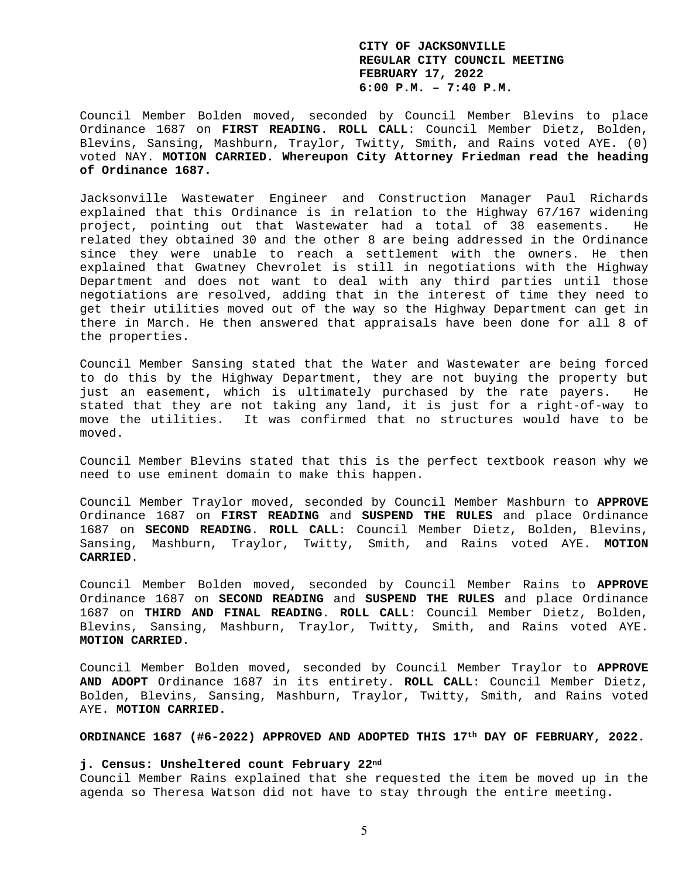Council Member Bolden moved, seconded by Council Member Blevins to place Ordinance 1687 on **FIRST READING**. **ROLL CALL**: Council Member Dietz, Bolden, Blevins, Sansing, Mashburn, Traylor, Twitty, Smith, and Rains voted AYE. (0) voted NAY. **MOTION CARRIED. Whereupon City Attorney Friedman read the heading of Ordinance 1687.** 

Jacksonville Wastewater Engineer and Construction Manager Paul Richards explained that this Ordinance is in relation to the Highway 67/167 widening project, pointing out that Wastewater had a total of 38 easements. He related they obtained 30 and the other 8 are being addressed in the Ordinance since they were unable to reach a settlement with the owners. He then explained that Gwatney Chevrolet is still in negotiations with the Highway Department and does not want to deal with any third parties until those negotiations are resolved, adding that in the interest of time they need to get their utilities moved out of the way so the Highway Department can get in there in March. He then answered that appraisals have been done for all 8 of the properties.

Council Member Sansing stated that the Water and Wastewater are being forced to do this by the Highway Department, they are not buying the property but just an easement, which is ultimately purchased by the rate payers. He stated that they are not taking any land, it is just for a right-of-way to move the utilities. It was confirmed that no structures would have to be moved.

Council Member Blevins stated that this is the perfect textbook reason why we need to use eminent domain to make this happen.

Council Member Traylor moved, seconded by Council Member Mashburn to **APPROVE** Ordinance 1687 on **FIRST READING** and **SUSPEND THE RULES** and place Ordinance 1687 on **SECOND READING**. **ROLL CALL**: Council Member Dietz, Bolden, Blevins, Sansing, Mashburn, Traylor, Twitty, Smith, and Rains voted AYE. **MOTION CARRIED**.

Council Member Bolden moved, seconded by Council Member Rains to **APPROVE** Ordinance 1687 on **SECOND READING** and **SUSPEND THE RULES** and place Ordinance 1687 on **THIRD AND FINAL READING**. **ROLL CALL**: Council Member Dietz, Bolden, Blevins, Sansing, Mashburn, Traylor, Twitty, Smith, and Rains voted AYE. **MOTION CARRIED**.

Council Member Bolden moved, seconded by Council Member Traylor to **APPROVE AND ADOPT** Ordinance 1687 in its entirety. **ROLL CALL**: Council Member Dietz, Bolden, Blevins, Sansing, Mashburn, Traylor, Twitty, Smith, and Rains voted AYE. **MOTION CARRIED.** 

### **ORDINANCE 1687 (#6-2022) APPROVED AND ADOPTED THIS 17th DAY OF FEBRUARY, 2022.**

### **j. Census: Unsheltered count February 22nd**

Council Member Rains explained that she requested the item be moved up in the agenda so Theresa Watson did not have to stay through the entire meeting.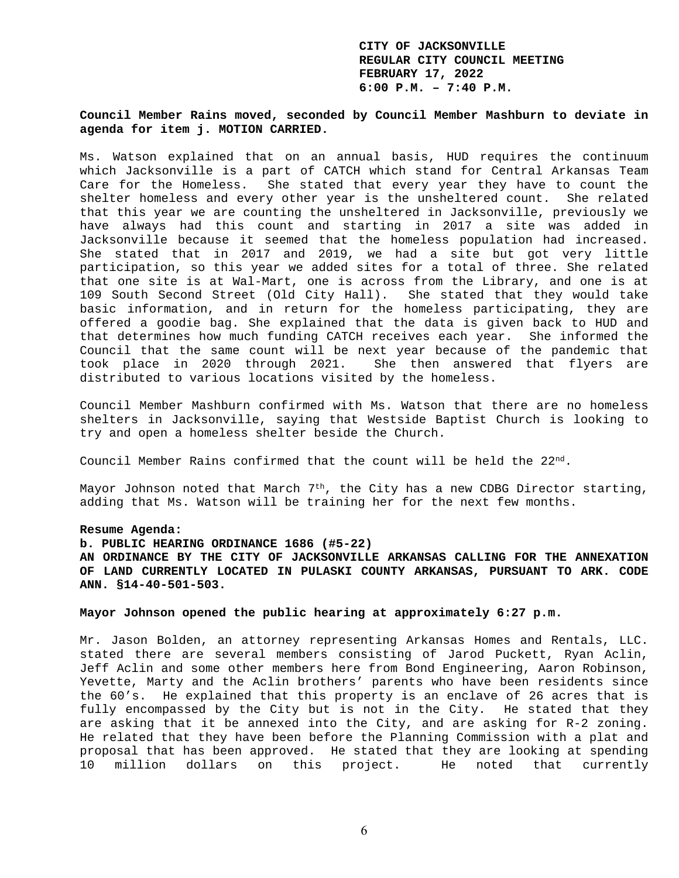# **Council Member Rains moved, seconded by Council Member Mashburn to deviate in agenda for item j. MOTION CARRIED.**

Ms. Watson explained that on an annual basis, HUD requires the continuum which Jacksonville is a part of CATCH which stand for Central Arkansas Team Care for the Homeless. She stated that every year they have to count the shelter homeless and every other year is the unsheltered count. She related that this year we are counting the unsheltered in Jacksonville, previously we have always had this count and starting in 2017 a site was added in Jacksonville because it seemed that the homeless population had increased. She stated that in 2017 and 2019, we had a site but got very little participation, so this year we added sites for a total of three. She related that one site is at Wal-Mart, one is across from the Library, and one is at 109 South Second Street (Old City Hall). She stated that they would take basic information, and in return for the homeless participating, they are offered a goodie bag. She explained that the data is given back to HUD and that determines how much funding CATCH receives each year. She informed the Council that the same count will be next year because of the pandemic that took place in 2020 through 2021. She then answered that flyers are distributed to various locations visited by the homeless.

Council Member Mashburn confirmed with Ms. Watson that there are no homeless shelters in Jacksonville, saying that Westside Baptist Church is looking to try and open a homeless shelter beside the Church.

Council Member Rains confirmed that the count will be held the  $22<sup>nd</sup>$ .

Mayor Johnson noted that March  $7<sup>th</sup>$ , the City has a new CDBG Director starting, adding that Ms. Watson will be training her for the next few months.

### **Resume Agenda:**

### **b. PUBLIC HEARING ORDINANCE 1686 (#5-22)**

**AN ORDINANCE BY THE CITY OF JACKSONVILLE ARKANSAS CALLING FOR THE ANNEXATION OF LAND CURRENTLY LOCATED IN PULASKI COUNTY ARKANSAS, PURSUANT TO ARK. CODE ANN. §14-40-501-503.** 

# **Mayor Johnson opened the public hearing at approximately 6:27 p.m.**

Mr. Jason Bolden, an attorney representing Arkansas Homes and Rentals, LLC. stated there are several members consisting of Jarod Puckett, Ryan Aclin, Jeff Aclin and some other members here from Bond Engineering, Aaron Robinson, Yevette, Marty and the Aclin brothers' parents who have been residents since the 60's. He explained that this property is an enclave of 26 acres that is fully encompassed by the City but is not in the City. He stated that they are asking that it be annexed into the City, and are asking for R-2 zoning. He related that they have been before the Planning Commission with a plat and proposal that has been approved. He stated that they are looking at spending 10 million dollars on this project. He noted that currently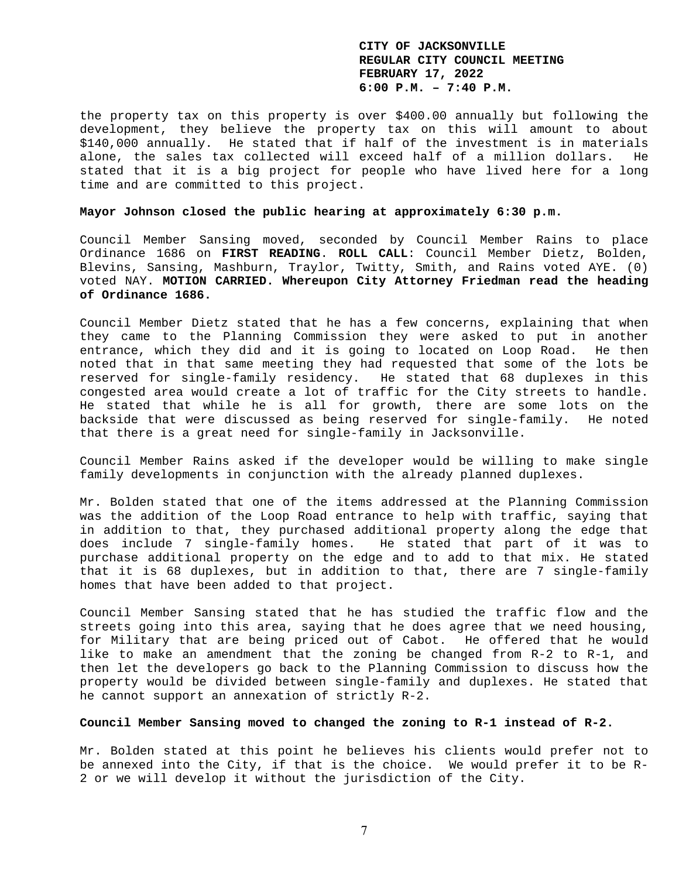the property tax on this property is over \$400.00 annually but following the development, they believe the property tax on this will amount to about \$140,000 annually. He stated that if half of the investment is in materials alone, the sales tax collected will exceed half of a million dollars. He stated that it is a big project for people who have lived here for a long time and are committed to this project.

### **Mayor Johnson closed the public hearing at approximately 6:30 p.m.**

Council Member Sansing moved, seconded by Council Member Rains to place Ordinance 1686 on **FIRST READING**. **ROLL CALL**: Council Member Dietz, Bolden, Blevins, Sansing, Mashburn, Traylor, Twitty, Smith, and Rains voted AYE. (0) voted NAY. **MOTION CARRIED. Whereupon City Attorney Friedman read the heading of Ordinance 1686.** 

Council Member Dietz stated that he has a few concerns, explaining that when they came to the Planning Commission they were asked to put in another entrance, which they did and it is going to located on Loop Road. He then noted that in that same meeting they had requested that some of the lots be reserved for single-family residency. He stated that 68 duplexes in this congested area would create a lot of traffic for the City streets to handle. He stated that while he is all for growth, there are some lots on the backside that were discussed as being reserved for single-family. He noted that there is a great need for single-family in Jacksonville.

Council Member Rains asked if the developer would be willing to make single family developments in conjunction with the already planned duplexes.

Mr. Bolden stated that one of the items addressed at the Planning Commission was the addition of the Loop Road entrance to help with traffic, saying that in addition to that, they purchased additional property along the edge that does include 7 single-family homes. He stated that part of it was to purchase additional property on the edge and to add to that mix. He stated that it is 68 duplexes, but in addition to that, there are 7 single-family homes that have been added to that project.

Council Member Sansing stated that he has studied the traffic flow and the streets going into this area, saying that he does agree that we need housing, for Military that are being priced out of Cabot. He offered that he would like to make an amendment that the zoning be changed from R-2 to R-1, and then let the developers go back to the Planning Commission to discuss how the property would be divided between single-family and duplexes. He stated that he cannot support an annexation of strictly R-2.

### **Council Member Sansing moved to changed the zoning to R-1 instead of R-2.**

Mr. Bolden stated at this point he believes his clients would prefer not to be annexed into the City, if that is the choice. We would prefer it to be R-2 or we will develop it without the jurisdiction of the City.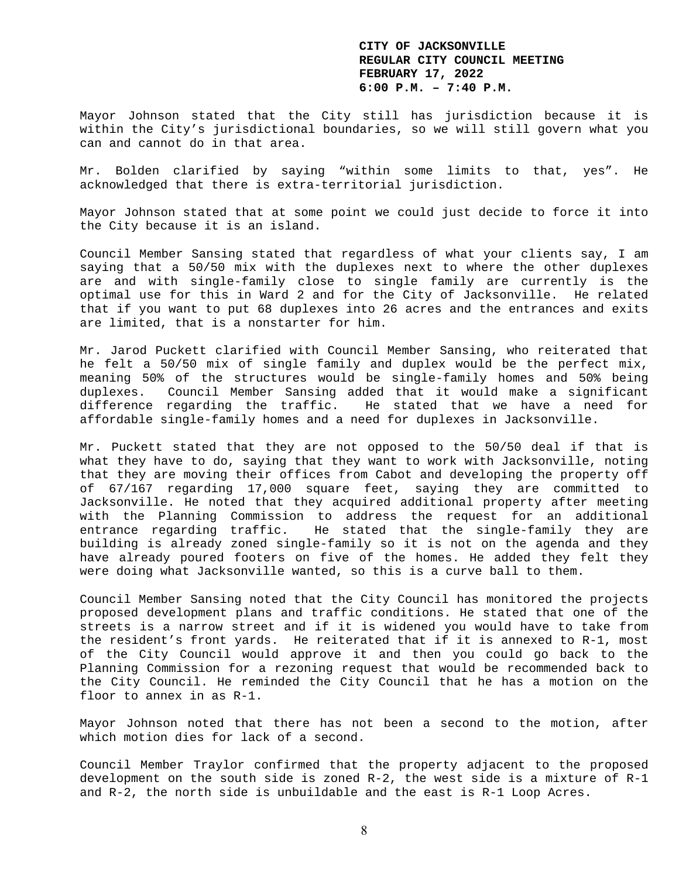Mayor Johnson stated that the City still has jurisdiction because it is within the City's jurisdictional boundaries, so we will still govern what you can and cannot do in that area.

Mr. Bolden clarified by saying "within some limits to that, yes". He acknowledged that there is extra-territorial jurisdiction.

Mayor Johnson stated that at some point we could just decide to force it into the City because it is an island.

Council Member Sansing stated that regardless of what your clients say, I am saying that a 50/50 mix with the duplexes next to where the other duplexes are and with single-family close to single family are currently is the optimal use for this in Ward 2 and for the City of Jacksonville. He related that if you want to put 68 duplexes into 26 acres and the entrances and exits are limited, that is a nonstarter for him.

Mr. Jarod Puckett clarified with Council Member Sansing, who reiterated that he felt a 50/50 mix of single family and duplex would be the perfect mix, meaning 50% of the structures would be single-family homes and 50% being duplexes. Council Member Sansing added that it would make a significant difference regarding the traffic. He stated that we have a need for affordable single-family homes and a need for duplexes in Jacksonville.

Mr. Puckett stated that they are not opposed to the 50/50 deal if that is what they have to do, saying that they want to work with Jacksonville, noting that they are moving their offices from Cabot and developing the property off of 67/167 regarding 17,000 square feet, saying they are committed to Jacksonville. He noted that they acquired additional property after meeting with the Planning Commission to address the request for an additional entrance regarding traffic. He stated that the single-family they are building is already zoned single-family so it is not on the agenda and they have already poured footers on five of the homes. He added they felt they were doing what Jacksonville wanted, so this is a curve ball to them.

Council Member Sansing noted that the City Council has monitored the projects proposed development plans and traffic conditions. He stated that one of the streets is a narrow street and if it is widened you would have to take from the resident's front yards. He reiterated that if it is annexed to R-1, most of the City Council would approve it and then you could go back to the Planning Commission for a rezoning request that would be recommended back to the City Council. He reminded the City Council that he has a motion on the floor to annex in as R-1.

Mayor Johnson noted that there has not been a second to the motion, after which motion dies for lack of a second.

Council Member Traylor confirmed that the property adjacent to the proposed development on the south side is zoned R-2, the west side is a mixture of R-1 and R-2, the north side is unbuildable and the east is R-1 Loop Acres.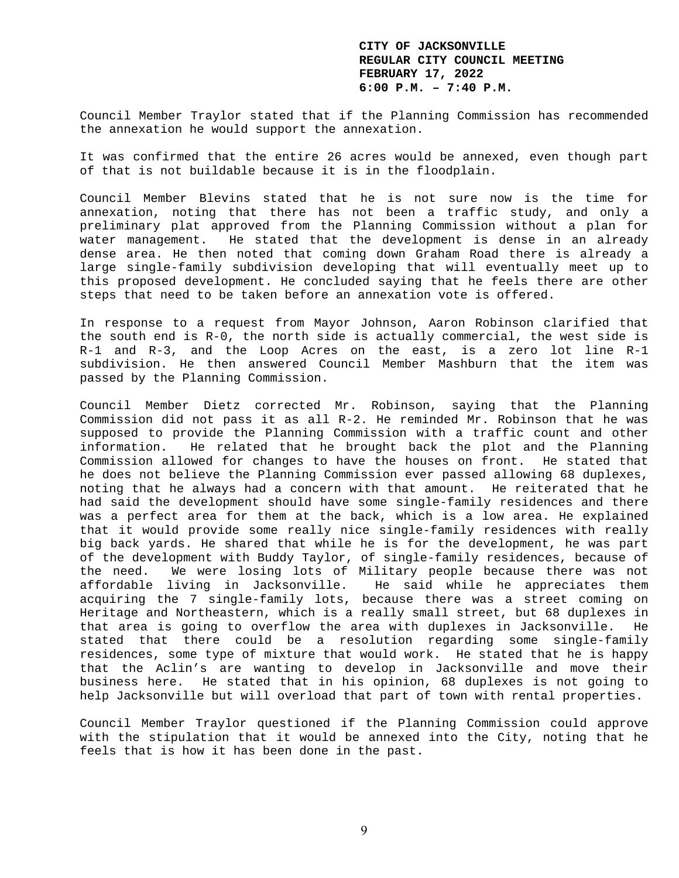Council Member Traylor stated that if the Planning Commission has recommended the annexation he would support the annexation.

It was confirmed that the entire 26 acres would be annexed, even though part of that is not buildable because it is in the floodplain.

Council Member Blevins stated that he is not sure now is the time for annexation, noting that there has not been a traffic study, and only a preliminary plat approved from the Planning Commission without a plan for water management. He stated that the development is dense in an already dense area. He then noted that coming down Graham Road there is already a large single-family subdivision developing that will eventually meet up to this proposed development. He concluded saying that he feels there are other steps that need to be taken before an annexation vote is offered.

In response to a request from Mayor Johnson, Aaron Robinson clarified that the south end is R-0, the north side is actually commercial, the west side is R-1 and R-3, and the Loop Acres on the east, is a zero lot line R-1 subdivision. He then answered Council Member Mashburn that the item was passed by the Planning Commission.

Council Member Dietz corrected Mr. Robinson, saying that the Planning Commission did not pass it as all R-2. He reminded Mr. Robinson that he was supposed to provide the Planning Commission with a traffic count and other information. He related that he brought back the plot and the Planning Commission allowed for changes to have the houses on front. He stated that he does not believe the Planning Commission ever passed allowing 68 duplexes, noting that he always had a concern with that amount. He reiterated that he had said the development should have some single-family residences and there was a perfect area for them at the back, which is a low area. He explained that it would provide some really nice single-family residences with really big back yards. He shared that while he is for the development, he was part of the development with Buddy Taylor, of single-family residences, because of the need. We were losing lots of Military people because there was not affordable living in Jacksonville. He said while he appreciates them acquiring the 7 single-family lots, because there was a street coming on Heritage and Northeastern, which is a really small street, but 68 duplexes in that area is going to overflow the area with duplexes in Jacksonville. He stated that there could be a resolution regarding some single-family residences, some type of mixture that would work. He stated that he is happy that the Aclin's are wanting to develop in Jacksonville and move their business here. He stated that in his opinion, 68 duplexes is not going to help Jacksonville but will overload that part of town with rental properties.

Council Member Traylor questioned if the Planning Commission could approve with the stipulation that it would be annexed into the City, noting that he feels that is how it has been done in the past.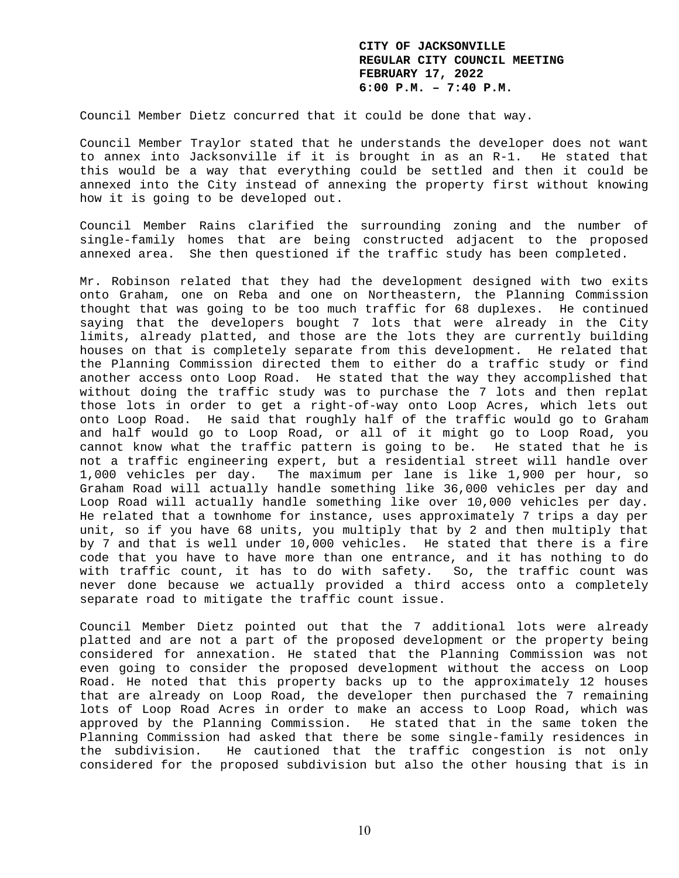Council Member Dietz concurred that it could be done that way.

Council Member Traylor stated that he understands the developer does not want to annex into Jacksonville if it is brought in as an R-1. He stated that this would be a way that everything could be settled and then it could be annexed into the City instead of annexing the property first without knowing how it is going to be developed out.

Council Member Rains clarified the surrounding zoning and the number of single-family homes that are being constructed adjacent to the proposed annexed area. She then questioned if the traffic study has been completed.

Mr. Robinson related that they had the development designed with two exits onto Graham, one on Reba and one on Northeastern, the Planning Commission thought that was going to be too much traffic for 68 duplexes. He continued saying that the developers bought 7 lots that were already in the City limits, already platted, and those are the lots they are currently building houses on that is completely separate from this development. He related that the Planning Commission directed them to either do a traffic study or find another access onto Loop Road. He stated that the way they accomplished that without doing the traffic study was to purchase the 7 lots and then replat those lots in order to get a right-of-way onto Loop Acres, which lets out onto Loop Road. He said that roughly half of the traffic would go to Graham and half would go to Loop Road, or all of it might go to Loop Road, you cannot know what the traffic pattern is going to be. He stated that he is not a traffic engineering expert, but a residential street will handle over 1,000 vehicles per day. The maximum per lane is like 1,900 per hour, so Graham Road will actually handle something like 36,000 vehicles per day and Loop Road will actually handle something like over 10,000 vehicles per day. He related that a townhome for instance, uses approximately 7 trips a day per unit, so if you have 68 units, you multiply that by 2 and then multiply that by 7 and that is well under 10,000 vehicles. He stated that there is a fire code that you have to have more than one entrance, and it has nothing to do with traffic count, it has to do with safety. So, the traffic count was never done because we actually provided a third access onto a completely separate road to mitigate the traffic count issue.

Council Member Dietz pointed out that the 7 additional lots were already platted and are not a part of the proposed development or the property being considered for annexation. He stated that the Planning Commission was not even going to consider the proposed development without the access on Loop Road. He noted that this property backs up to the approximately 12 houses that are already on Loop Road, the developer then purchased the 7 remaining lots of Loop Road Acres in order to make an access to Loop Road, which was approved by the Planning Commission. He stated that in the same token the Planning Commission had asked that there be some single-family residences in the subdivision. He cautioned that the traffic congestion is not only considered for the proposed subdivision but also the other housing that is in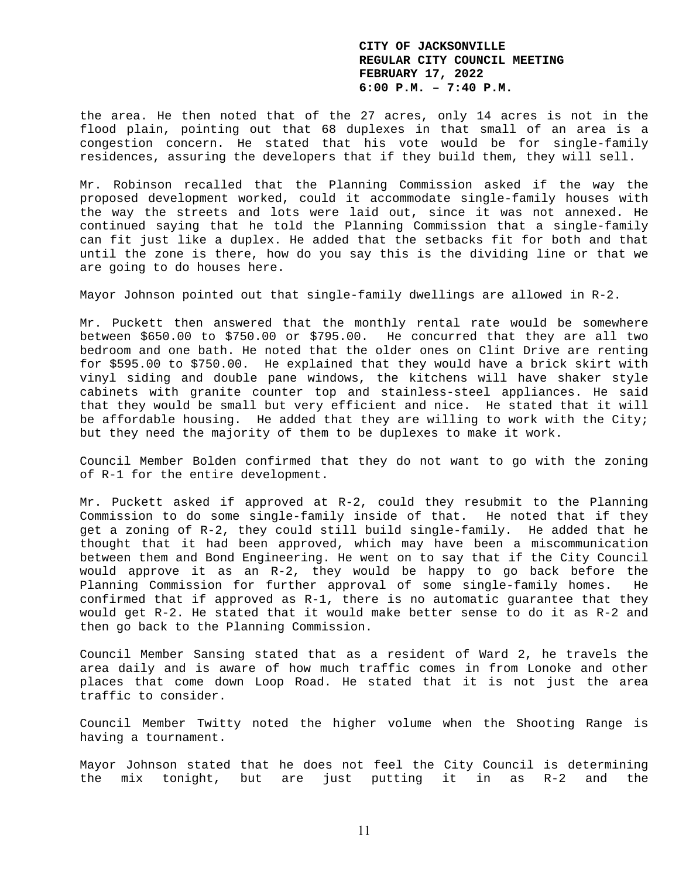the area. He then noted that of the 27 acres, only 14 acres is not in the flood plain, pointing out that 68 duplexes in that small of an area is a congestion concern. He stated that his vote would be for single-family residences, assuring the developers that if they build them, they will sell.

Mr. Robinson recalled that the Planning Commission asked if the way the proposed development worked, could it accommodate single-family houses with the way the streets and lots were laid out, since it was not annexed. He continued saying that he told the Planning Commission that a single-family can fit just like a duplex. He added that the setbacks fit for both and that until the zone is there, how do you say this is the dividing line or that we are going to do houses here.

Mayor Johnson pointed out that single-family dwellings are allowed in R-2.

Mr. Puckett then answered that the monthly rental rate would be somewhere between \$650.00 to \$750.00 or \$795.00. He concurred that they are all two bedroom and one bath. He noted that the older ones on Clint Drive are renting for \$595.00 to \$750.00. He explained that they would have a brick skirt with vinyl siding and double pane windows, the kitchens will have shaker style cabinets with granite counter top and stainless-steel appliances. He said that they would be small but very efficient and nice. He stated that it will be affordable housing. He added that they are willing to work with the City; but they need the majority of them to be duplexes to make it work.

Council Member Bolden confirmed that they do not want to go with the zoning of R-1 for the entire development.

Mr. Puckett asked if approved at R-2, could they resubmit to the Planning Commission to do some single-family inside of that. He noted that if they get a zoning of R-2, they could still build single-family. He added that he thought that it had been approved, which may have been a miscommunication between them and Bond Engineering. He went on to say that if the City Council would approve it as an R-2, they would be happy to go back before the Planning Commission for further approval of some single-family homes. He confirmed that if approved as R-1, there is no automatic guarantee that they would get R-2. He stated that it would make better sense to do it as R-2 and then go back to the Planning Commission.

Council Member Sansing stated that as a resident of Ward 2, he travels the area daily and is aware of how much traffic comes in from Lonoke and other places that come down Loop Road. He stated that it is not just the area traffic to consider.

Council Member Twitty noted the higher volume when the Shooting Range is having a tournament.

Mayor Johnson stated that he does not feel the City Council is determining the mix tonight, but are just putting it in as R-2 and the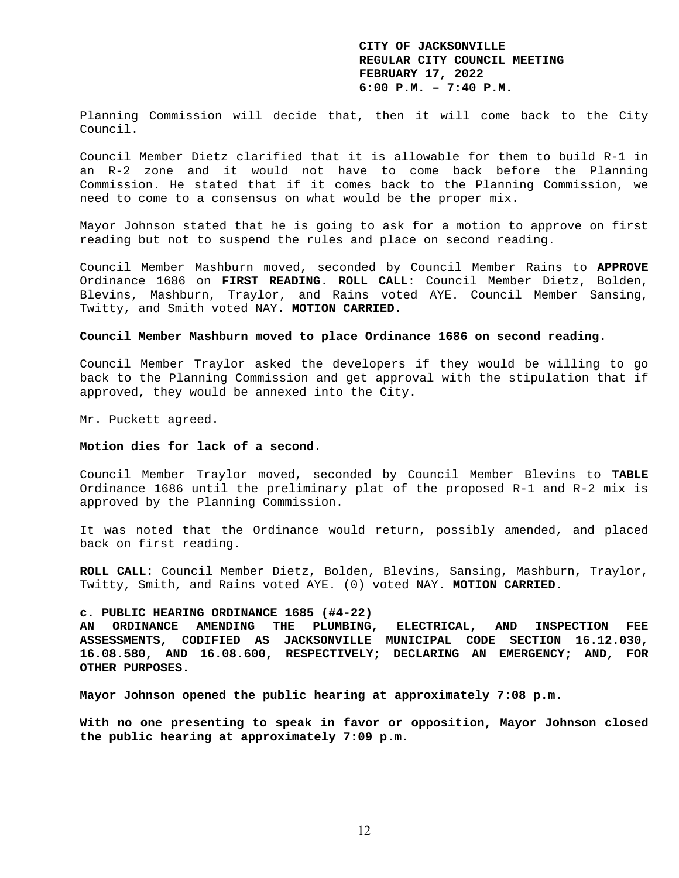Planning Commission will decide that, then it will come back to the City Council.

Council Member Dietz clarified that it is allowable for them to build R-1 in an R-2 zone and it would not have to come back before the Planning Commission. He stated that if it comes back to the Planning Commission, we need to come to a consensus on what would be the proper mix.

Mayor Johnson stated that he is going to ask for a motion to approve on first reading but not to suspend the rules and place on second reading.

Council Member Mashburn moved, seconded by Council Member Rains to **APPROVE** Ordinance 1686 on **FIRST READING**. **ROLL CALL**: Council Member Dietz, Bolden, Blevins, Mashburn, Traylor, and Rains voted AYE. Council Member Sansing, Twitty, and Smith voted NAY. **MOTION CARRIED**.

#### **Council Member Mashburn moved to place Ordinance 1686 on second reading.**

Council Member Traylor asked the developers if they would be willing to go back to the Planning Commission and get approval with the stipulation that if approved, they would be annexed into the City.

Mr. Puckett agreed.

#### **Motion dies for lack of a second.**

Council Member Traylor moved, seconded by Council Member Blevins to **TABLE** Ordinance 1686 until the preliminary plat of the proposed R-1 and R-2 mix is approved by the Planning Commission.

It was noted that the Ordinance would return, possibly amended, and placed back on first reading.

**ROLL CALL**: Council Member Dietz, Bolden, Blevins, Sansing, Mashburn, Traylor, Twitty, Smith, and Rains voted AYE. (0) voted NAY. **MOTION CARRIED**.

#### **c. PUBLIC HEARING ORDINANCE 1685 (#4-22)**

**AN ORDINANCE AMENDING THE PLUMBING, ELECTRICAL, AND INSPECTION FEE ASSESSMENTS, CODIFIED AS JACKSONVILLE MUNICIPAL CODE SECTION 16.12.030, 16.08.580, AND 16.08.600, RESPECTIVELY; DECLARING AN EMERGENCY; AND, FOR OTHER PURPOSES.** 

**Mayor Johnson opened the public hearing at approximately 7:08 p.m.** 

**With no one presenting to speak in favor or opposition, Mayor Johnson closed the public hearing at approximately 7:09 p.m.**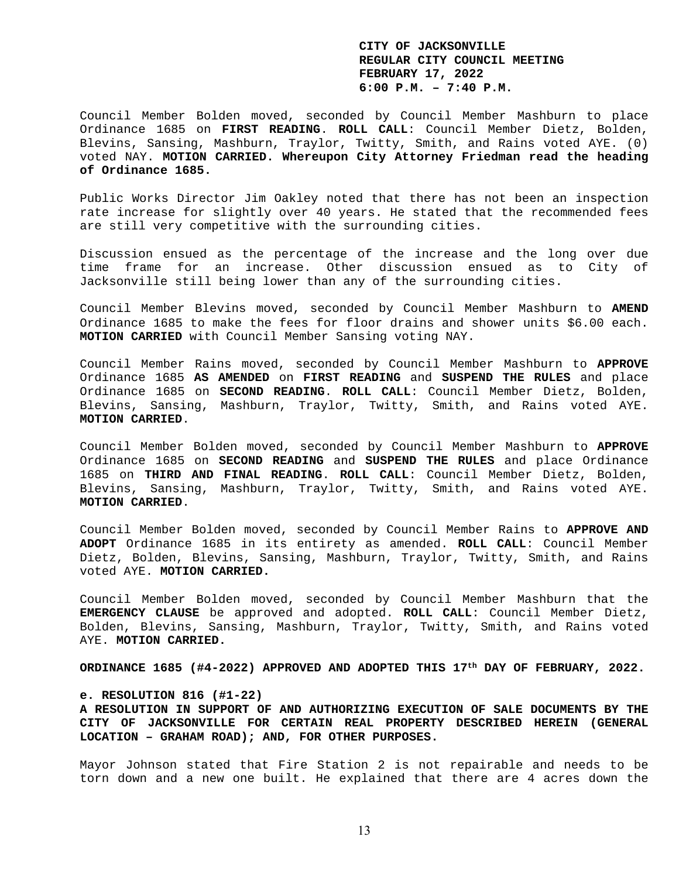Council Member Bolden moved, seconded by Council Member Mashburn to place Ordinance 1685 on **FIRST READING**. **ROLL CALL**: Council Member Dietz, Bolden, Blevins, Sansing, Mashburn, Traylor, Twitty, Smith, and Rains voted AYE. (0) voted NAY. **MOTION CARRIED. Whereupon City Attorney Friedman read the heading of Ordinance 1685.** 

Public Works Director Jim Oakley noted that there has not been an inspection rate increase for slightly over 40 years. He stated that the recommended fees are still very competitive with the surrounding cities.

Discussion ensued as the percentage of the increase and the long over due time frame for an increase. Other discussion ensued as to City of Jacksonville still being lower than any of the surrounding cities.

Council Member Blevins moved, seconded by Council Member Mashburn to **AMEND** Ordinance 1685 to make the fees for floor drains and shower units \$6.00 each. **MOTION CARRIED** with Council Member Sansing voting NAY.

Council Member Rains moved, seconded by Council Member Mashburn to **APPROVE** Ordinance 1685 **AS AMENDED** on **FIRST READING** and **SUSPEND THE RULES** and place Ordinance 1685 on **SECOND READING**. **ROLL CALL**: Council Member Dietz, Bolden, Blevins, Sansing, Mashburn, Traylor, Twitty, Smith, and Rains voted AYE. **MOTION CARRIED**.

Council Member Bolden moved, seconded by Council Member Mashburn to **APPROVE** Ordinance 1685 on **SECOND READING** and **SUSPEND THE RULES** and place Ordinance 1685 on **THIRD AND FINAL READING**. **ROLL CALL**: Council Member Dietz, Bolden, Blevins, Sansing, Mashburn, Traylor, Twitty, Smith, and Rains voted AYE. **MOTION CARRIED**.

Council Member Bolden moved, seconded by Council Member Rains to **APPROVE AND ADOPT** Ordinance 1685 in its entirety as amended. **ROLL CALL**: Council Member Dietz, Bolden, Blevins, Sansing, Mashburn, Traylor, Twitty, Smith, and Rains voted AYE. **MOTION CARRIED.** 

Council Member Bolden moved, seconded by Council Member Mashburn that the **EMERGENCY CLAUSE** be approved and adopted. **ROLL CALL**: Council Member Dietz, Bolden, Blevins, Sansing, Mashburn, Traylor, Twitty, Smith, and Rains voted AYE. **MOTION CARRIED.** 

**ORDINANCE 1685 (#4-2022) APPROVED AND ADOPTED THIS 17th DAY OF FEBRUARY, 2022.** 

### **e. RESOLUTION 816 (#1-22)**

**A RESOLUTION IN SUPPORT OF AND AUTHORIZING EXECUTION OF SALE DOCUMENTS BY THE CITY OF JACKSONVILLE FOR CERTAIN REAL PROPERTY DESCRIBED HEREIN (GENERAL LOCATION – GRAHAM ROAD); AND, FOR OTHER PURPOSES.** 

Mayor Johnson stated that Fire Station 2 is not repairable and needs to be torn down and a new one built. He explained that there are 4 acres down the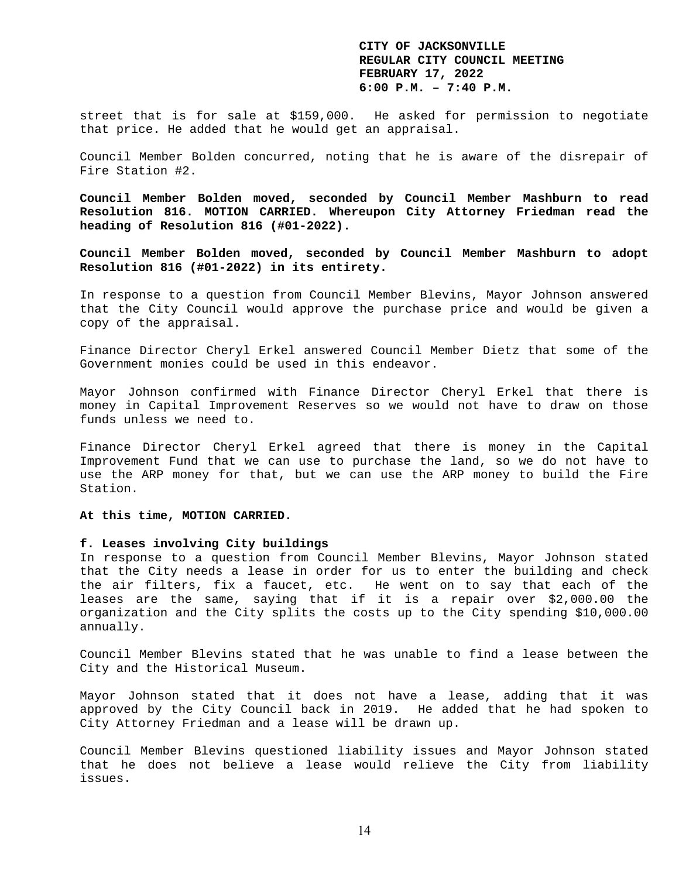street that is for sale at \$159,000. He asked for permission to negotiate that price. He added that he would get an appraisal.

Council Member Bolden concurred, noting that he is aware of the disrepair of Fire Station #2.

**Council Member Bolden moved, seconded by Council Member Mashburn to read Resolution 816. MOTION CARRIED. Whereupon City Attorney Friedman read the heading of Resolution 816 (#01-2022).** 

**Council Member Bolden moved, seconded by Council Member Mashburn to adopt Resolution 816 (#01-2022) in its entirety.** 

In response to a question from Council Member Blevins, Mayor Johnson answered that the City Council would approve the purchase price and would be given a copy of the appraisal.

Finance Director Cheryl Erkel answered Council Member Dietz that some of the Government monies could be used in this endeavor.

Mayor Johnson confirmed with Finance Director Cheryl Erkel that there is money in Capital Improvement Reserves so we would not have to draw on those funds unless we need to.

Finance Director Cheryl Erkel agreed that there is money in the Capital Improvement Fund that we can use to purchase the land, so we do not have to use the ARP money for that, but we can use the ARP money to build the Fire Station.

**At this time, MOTION CARRIED.** 

## **f. Leases involving City buildings**

In response to a question from Council Member Blevins, Mayor Johnson stated that the City needs a lease in order for us to enter the building and check the air filters, fix a faucet, etc. He went on to say that each of the leases are the same, saying that if it is a repair over \$2,000.00 the organization and the City splits the costs up to the City spending \$10,000.00 annually.

Council Member Blevins stated that he was unable to find a lease between the City and the Historical Museum.

Mayor Johnson stated that it does not have a lease, adding that it was approved by the City Council back in 2019. He added that he had spoken to City Attorney Friedman and a lease will be drawn up.

Council Member Blevins questioned liability issues and Mayor Johnson stated that he does not believe a lease would relieve the City from liability issues.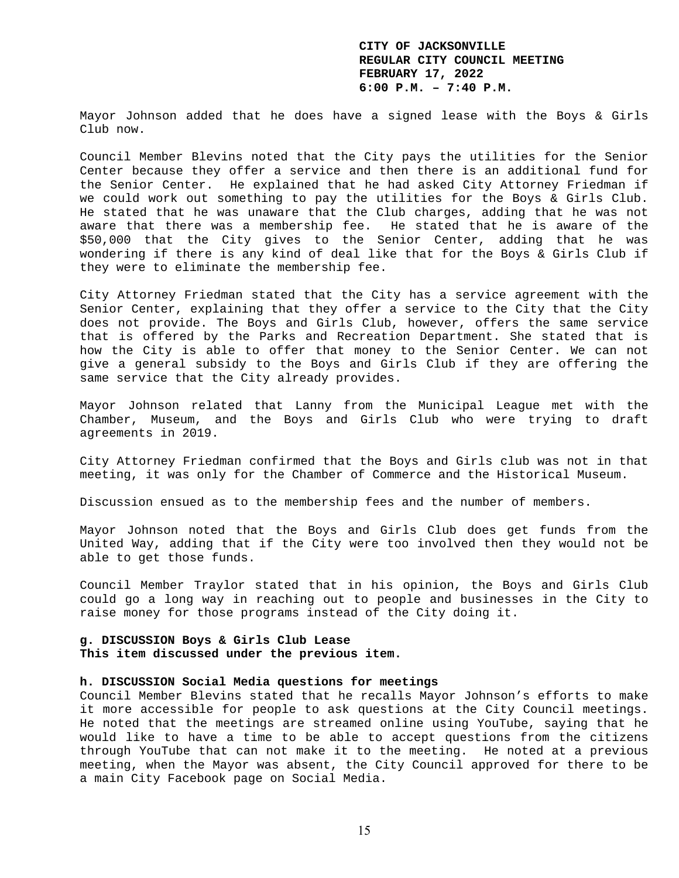Mayor Johnson added that he does have a signed lease with the Boys & Girls Club now.

Council Member Blevins noted that the City pays the utilities for the Senior Center because they offer a service and then there is an additional fund for the Senior Center. He explained that he had asked City Attorney Friedman if we could work out something to pay the utilities for the Boys & Girls Club. He stated that he was unaware that the Club charges, adding that he was not aware that there was a membership fee. He stated that he is aware of the \$50,000 that the City gives to the Senior Center, adding that he was wondering if there is any kind of deal like that for the Boys & Girls Club if they were to eliminate the membership fee.

City Attorney Friedman stated that the City has a service agreement with the Senior Center, explaining that they offer a service to the City that the City does not provide. The Boys and Girls Club, however, offers the same service that is offered by the Parks and Recreation Department. She stated that is how the City is able to offer that money to the Senior Center. We can not give a general subsidy to the Boys and Girls Club if they are offering the same service that the City already provides.

Mayor Johnson related that Lanny from the Municipal League met with the Chamber, Museum, and the Boys and Girls Club who were trying to draft agreements in 2019.

City Attorney Friedman confirmed that the Boys and Girls club was not in that meeting, it was only for the Chamber of Commerce and the Historical Museum.

Discussion ensued as to the membership fees and the number of members.

Mayor Johnson noted that the Boys and Girls Club does get funds from the United Way, adding that if the City were too involved then they would not be able to get those funds.

Council Member Traylor stated that in his opinion, the Boys and Girls Club could go a long way in reaching out to people and businesses in the City to raise money for those programs instead of the City doing it.

## **g. DISCUSSION Boys & Girls Club Lease This item discussed under the previous item.**

### **h. DISCUSSION Social Media questions for meetings**

Council Member Blevins stated that he recalls Mayor Johnson's efforts to make it more accessible for people to ask questions at the City Council meetings. He noted that the meetings are streamed online using YouTube, saying that he would like to have a time to be able to accept questions from the citizens through YouTube that can not make it to the meeting. He noted at a previous meeting, when the Mayor was absent, the City Council approved for there to be a main City Facebook page on Social Media.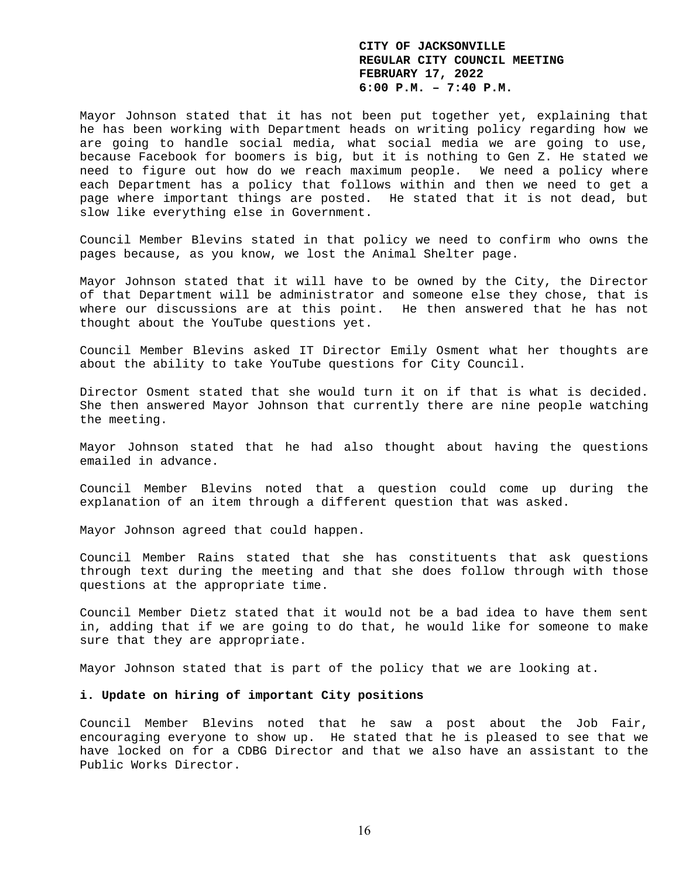Mayor Johnson stated that it has not been put together yet, explaining that he has been working with Department heads on writing policy regarding how we are going to handle social media, what social media we are going to use, because Facebook for boomers is big, but it is nothing to Gen Z. He stated we need to figure out how do we reach maximum people. We need a policy where each Department has a policy that follows within and then we need to get a page where important things are posted. He stated that it is not dead, but slow like everything else in Government.

Council Member Blevins stated in that policy we need to confirm who owns the pages because, as you know, we lost the Animal Shelter page.

Mayor Johnson stated that it will have to be owned by the City, the Director of that Department will be administrator and someone else they chose, that is where our discussions are at this point. He then answered that he has not thought about the YouTube questions yet.

Council Member Blevins asked IT Director Emily Osment what her thoughts are about the ability to take YouTube questions for City Council.

Director Osment stated that she would turn it on if that is what is decided. She then answered Mayor Johnson that currently there are nine people watching the meeting.

Mayor Johnson stated that he had also thought about having the questions emailed in advance.

Council Member Blevins noted that a question could come up during the explanation of an item through a different question that was asked.

Mayor Johnson agreed that could happen.

Council Member Rains stated that she has constituents that ask questions through text during the meeting and that she does follow through with those questions at the appropriate time.

Council Member Dietz stated that it would not be a bad idea to have them sent in, adding that if we are going to do that, he would like for someone to make sure that they are appropriate.

Mayor Johnson stated that is part of the policy that we are looking at.

### **i. Update on hiring of important City positions**

Council Member Blevins noted that he saw a post about the Job Fair, encouraging everyone to show up. He stated that he is pleased to see that we have locked on for a CDBG Director and that we also have an assistant to the Public Works Director.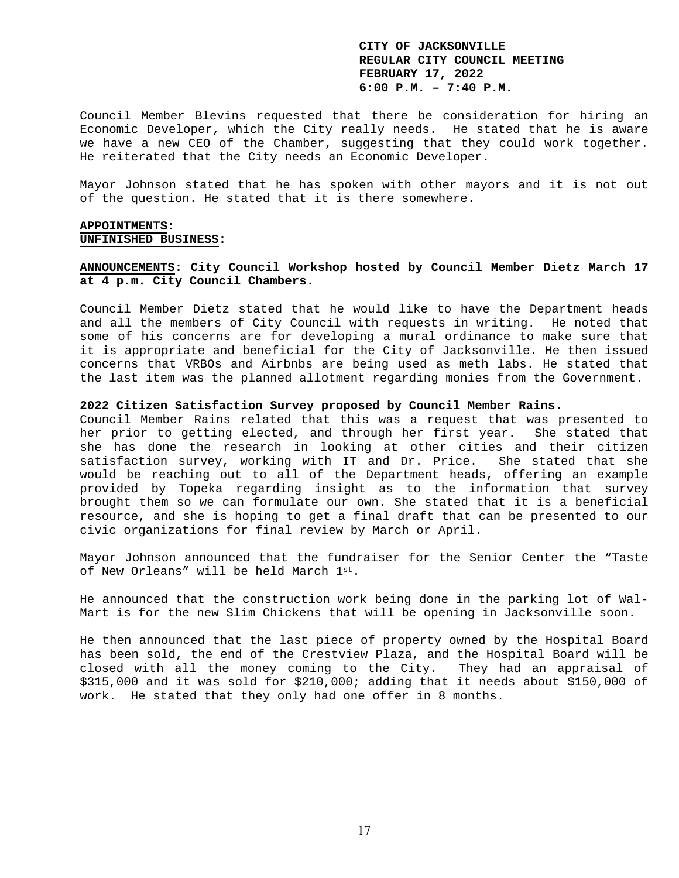Council Member Blevins requested that there be consideration for hiring an Economic Developer, which the City really needs. He stated that he is aware we have a new CEO of the Chamber, suggesting that they could work together. He reiterated that the City needs an Economic Developer.

Mayor Johnson stated that he has spoken with other mayors and it is not out of the question. He stated that it is there somewhere.

## **APPOINTMENTS: UNFINISHED BUSINESS:**

## **ANNOUNCEMENTS: City Council Workshop hosted by Council Member Dietz March 17 at 4 p.m. City Council Chambers.**

Council Member Dietz stated that he would like to have the Department heads and all the members of City Council with requests in writing. He noted that some of his concerns are for developing a mural ordinance to make sure that it is appropriate and beneficial for the City of Jacksonville. He then issued concerns that VRBOs and Airbnbs are being used as meth labs. He stated that the last item was the planned allotment regarding monies from the Government.

### **2022 Citizen Satisfaction Survey proposed by Council Member Rains.**

Council Member Rains related that this was a request that was presented to her prior to getting elected, and through her first year. She stated that she has done the research in looking at other cities and their citizen satisfaction survey, working with IT and Dr. Price. She stated that she would be reaching out to all of the Department heads, offering an example provided by Topeka regarding insight as to the information that survey brought them so we can formulate our own. She stated that it is a beneficial resource, and she is hoping to get a final draft that can be presented to our civic organizations for final review by March or April.

Mayor Johnson announced that the fundraiser for the Senior Center the "Taste of New Orleans" will be held March 1st.

He announced that the construction work being done in the parking lot of Wal-Mart is for the new Slim Chickens that will be opening in Jacksonville soon.

He then announced that the last piece of property owned by the Hospital Board has been sold, the end of the Crestview Plaza, and the Hospital Board will be closed with all the money coming to the City. They had an appraisal of \$315,000 and it was sold for \$210,000; adding that it needs about \$150,000 of work. He stated that they only had one offer in 8 months.